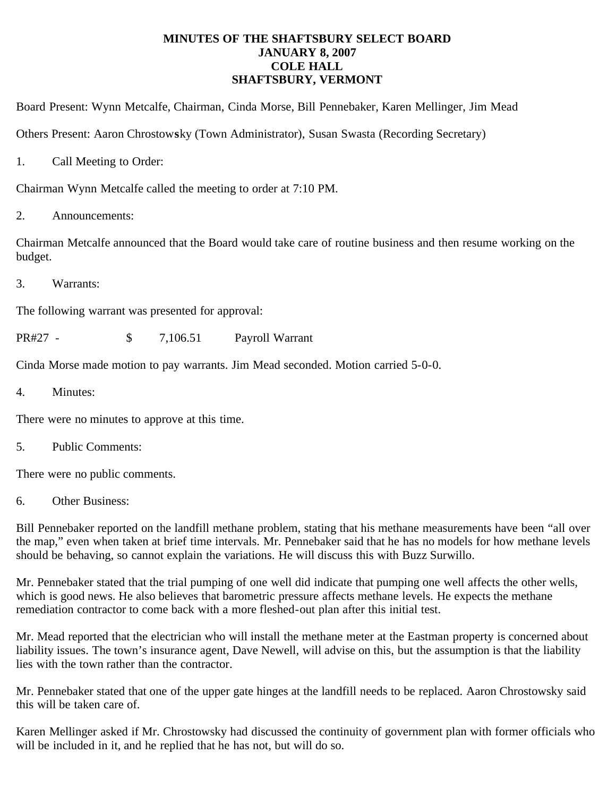## **MINUTES OF THE SHAFTSBURY SELECT BOARD JANUARY 8, 2007 COLE HALL SHAFTSBURY, VERMONT**

Board Present: Wynn Metcalfe, Chairman, Cinda Morse, Bill Pennebaker, Karen Mellinger, Jim Mead

Others Present: Aaron Chrostow**s**ky (Town Administrator), Susan Swasta (Recording Secretary)

1. Call Meeting to Order:

Chairman Wynn Metcalfe called the meeting to order at 7:10 PM.

2. Announcements:

Chairman Metcalfe announced that the Board would take care of routine business and then resume working on the budget.

3. Warrants:

The following warrant was presented for approval:

PR#27 - \$ 7,106.51 Payroll Warrant

Cinda Morse made motion to pay warrants. Jim Mead seconded. Motion carried 5-0-0.

4. Minutes:

There were no minutes to approve at this time.

5. Public Comments:

There were no public comments.

6. Other Business:

Bill Pennebaker reported on the landfill methane problem, stating that his methane measurements have been "all over the map," even when taken at brief time intervals. Mr. Pennebaker said that he has no models for how methane levels should be behaving, so cannot explain the variations. He will discuss this with Buzz Surwillo.

Mr. Pennebaker stated that the trial pumping of one well did indicate that pumping one well affects the other wells, which is good news. He also believes that barometric pressure affects methane levels. He expects the methane remediation contractor to come back with a more fleshed-out plan after this initial test.

Mr. Mead reported that the electrician who will install the methane meter at the Eastman property is concerned about liability issues. The town's insurance agent, Dave Newell, will advise on this, but the assumption is that the liability lies with the town rather than the contractor.

Mr. Pennebaker stated that one of the upper gate hinges at the landfill needs to be replaced. Aaron Chrostowsky said this will be taken care of.

Karen Mellinger asked if Mr. Chrostowsky had discussed the continuity of government plan with former officials who will be included in it, and he replied that he has not, but will do so.